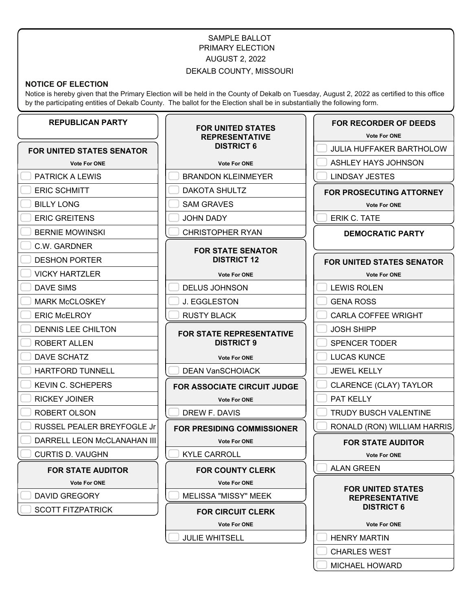# SAMPLE BALLOT PRIMARY ELECTION AUGUST 2, 2022

### DEKALB COUNTY, MISSOURI

#### **NOTICE OF ELECTION**

Notice is hereby given that the Primary Election will be held in the County of Dekalb on Tuesday, August 2, 2022 as certified to this office by the participating entities of Dekalb County. The ballot for the Election shall be in substantially the following form.

### **REPUBLICAN PARTY**

#### **FOR UNITED STATES SENATOR**

**Vote For ONE**

PATRICK A LEWIS

ERIC SCHMITT

BILLY LONG

**ERIC GREITENS** 

BERNIE MOWINSKI

C.W. GARDNER

DESHON PORTER

VICKY HARTZLER

DAVE SIMS

**MARK McCLOSKEY** 

**ERIC McELROY** 

DENNIS LEE CHILTON

ROBERT ALLEN

DAVE SCHATZ

HARTFORD TUNNELL

KEVIN C. SCHEPERS

RICKEY JOINER

ROBERT OLSON

- 
- RUSSEL PEALER BREYFOGLE Jr
- DARRELL LEON McCLANAHAN III

CURTIS D. VAUGHN

#### **FOR STATE AUDITOR**

**Vote For ONE**

DAVID GREGORY

SCOTT FITZPATRICK

### **FOR UNITED STATES REPRESENTATIVE DISTRICT 6**

**Vote For ONE**

BRANDON KLEINMEYER

DAKOTA SHULTZ

SAM GRAVES

JOHN DADY

CHRISTOPHER RYAN

### **FOR STATE SENATOR DISTRICT 12**

#### **Vote For ONE**

DELUS JOHNSON

J. EGGLESTON

RUSTY BLACK

#### **FOR STATE REPRESENTATIVE DISTRICT 9**

**Vote For ONE**

DEAN VanSCHOIACK

**FOR ASSOCIATE CIRCUIT JUDGE**

**Vote For ONE**

DREW F. DAVIS

**FOR PRESIDING COMMISSIONER**

**Vote For ONE**

KYLE CARROLL

**FOR COUNTY CLERK**

**Vote For ONE**

MELISSA "MISSY" MEEK

**FOR CIRCUIT CLERK**

**Vote For ONE**

JULIE WHITSELL

**FOR RECORDER OF DEEDS**

**Vote For ONE**

JULIA HUFFAKER BARTHOLOW

ASHLEY HAYS JOHNSON

LINDSAY JESTES

### **FOR PROSECUTING ATTORNEY**

**Vote For ONE**

ERIK C. TATE

**DEMOCRATIC PARTY**

**FOR UNITED STATES SENATOR Vote For ONE** LEWIS ROLEN

GENA ROSS

CARLA COFFEE WRIGHT

JOSH SHIPP

SPENCER TODER

LUCAS KUNCE

JEWEL KELLY

CLARENCE (CLAY) TAYLOR

PAT KELLY

TRUDY BUSCH VALENTINE

RONALD (RON) WILLIAM HARRIS

### **FOR STATE AUDITOR**

**Vote For ONE**

ALAN GREEN

#### **FOR UNITED STATES REPRESENTATIVE DISTRICT 6**

**Vote For ONE**

HENRY MARTIN

CHARLES WEST

MICHAEL HOWARD